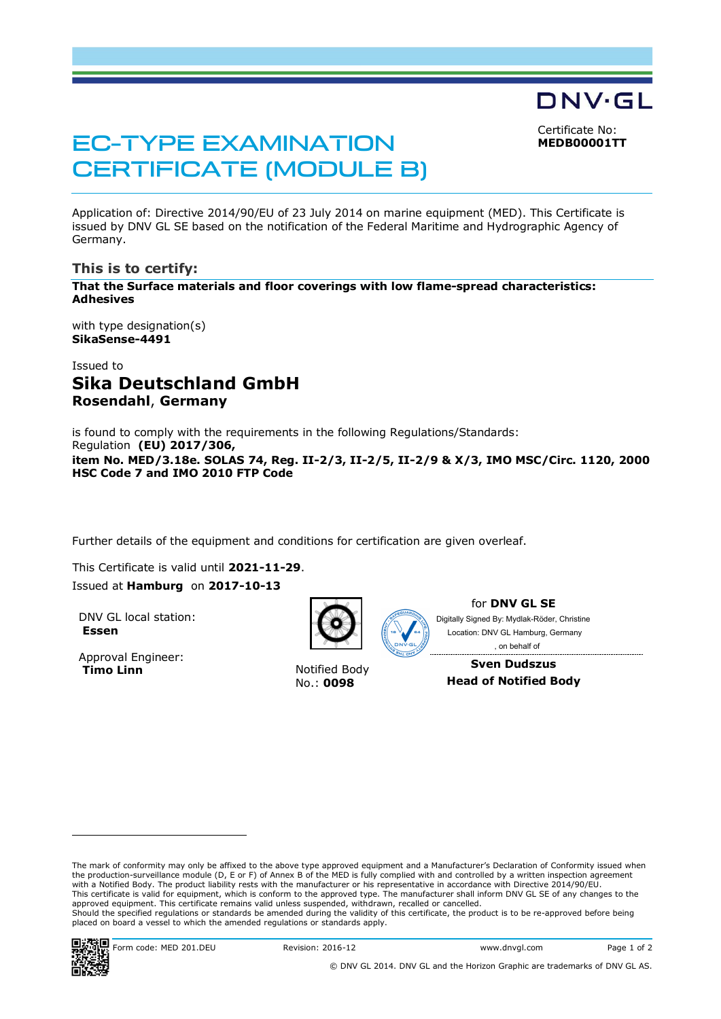Certificate No: **MEDB00001TT**

DNV·GL

# EC-TYPE EXAMINATION CERTIFICATE (MODULE B)

Application of: Directive 2014/90/EU of 23 July 2014 on marine equipment (MED). This Certificate is issued by DNV GL SE based on the notification of the Federal Maritime and Hydrographic Agency of Germany.

#### **This is to certify:**

**That the Surface materials and floor coverings with low flame-spread characteristics: Adhesives**

with type designation(s) **SikaSense-4491** 

# Issued to **Sika Deutschland GmbH Rosendahl**, **Germany**

is found to comply with the requirements in the following Regulations/Standards: Regulation **(EU) 2017/306, item No. MED/3.18e. SOLAS 74, Reg. II-2/3, II-2/5, II-2/9 & X/3, IMO MSC/Circ. 1120, 2000 HSC Code 7 and IMO 2010 FTP Code**

Further details of the equipment and conditions for certification are given overleaf.

This Certificate is valid until **2021-11-29**. Issued at **Hamburg** on **2017-10-13**

DNV GL local station: **Essen**

Approval Engineer: **Timo Linn Notified Body** 



No.: **0098**



for **DNV GL SE**

Digitally Signed By: Mydlak-Röder, Christine Location: DNV GL Hamburg, Germany , on behalf of

**Sven Dudszus Head of Notified Body**

The mark of conformity may only be affixed to the above type approved equipment and a Manufacturer's Declaration of Conformity issued when the production-surveillance module (D, E or F) of Annex B of the MED is fully complied with and controlled by a written inspection agreement with a Notified Body. The product liability rests with the manufacturer or his representative in accordance with Directive 2014/90/EU. This certificate is valid for equipment, which is conform to the approved type. The manufacturer shall inform DNV GL SE of any changes to the approved equipment. This certificate remains valid unless suspended, withdrawn, recalled or cancelled. Should the specified regulations or standards be amended during the validity of this certificate, the product is to be re-approved before being placed on board a vessel to which the amended regulations or standards apply.